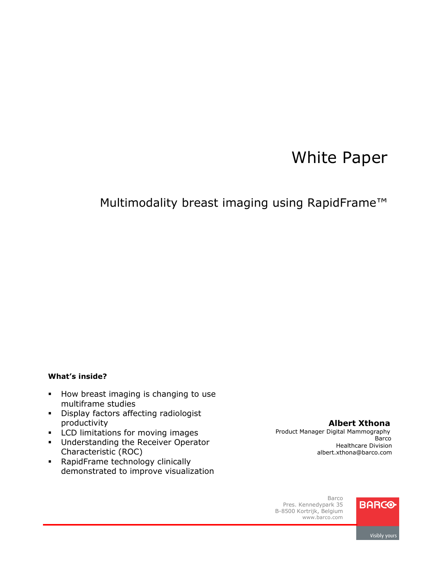# White Paper

## Multimodality breast imaging using RapidFrame™

#### **What's inside?**

- § How breast imaging is changing to use multiframe studies
- **•** Display factors affecting radiologist productivity
- § LCD limitations for moving images
- § Understanding the Receiver Operator Characteristic (ROC)
- § RapidFrame technology clinically demonstrated to improve visualization

**Albert Xthona**

Product Manager Digital Mammography Barco Healthcare Division albert.xthona@barco.com

Barco Pres. Kennedypark 35 B-8500 Kortrijk, Belgium www.barco.com



Visibly yours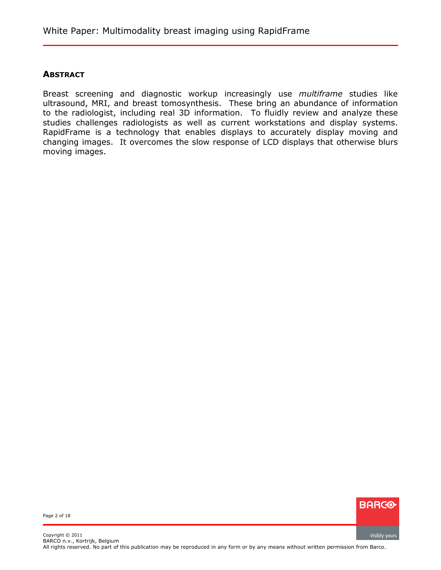#### **ABSTRACT**

Breast screening and diagnostic workup increasingly use *multiframe* studies like ultrasound, MRI, and breast tomosynthesis. These bring an abundance of information to the radiologist, including real 3D information. To fluidly review and analyze these studies challenges radiologists as well as current workstations and display systems. RapidFrame is a technology that enables displays to accurately display moving and changing images. It overcomes the slow response of LCD displays that otherwise blurs moving images.

> **BARCO** Visibly yours

Page 2 of 18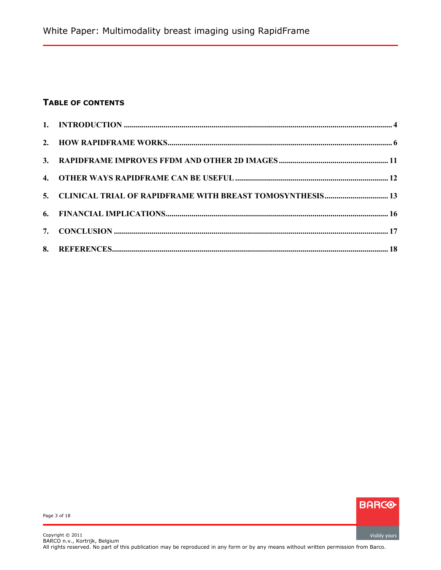## **TABLE OF CONTENTS**

| 5. CLINICAL TRIAL OF RAPIDFRAME WITH BREAST TOMOSYNTHESIS 13 |  |
|--------------------------------------------------------------|--|
|                                                              |  |
|                                                              |  |
|                                                              |  |



Page 3 of 18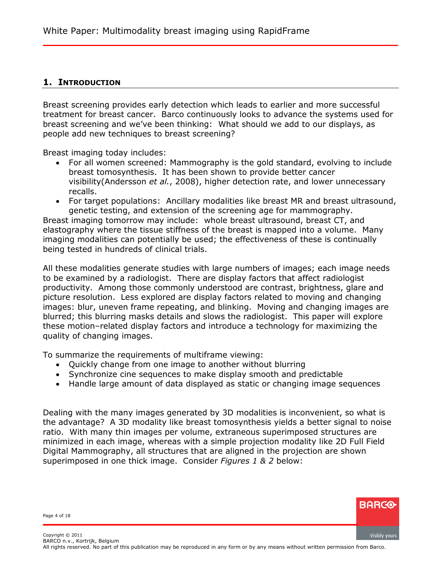## <span id="page-3-0"></span>**1. INTRODUCTION**

Breast screening provides early detection which leads to earlier and more successful treatment for breast cancer. Barco continuously looks to advance the systems used for breast screening and we've been thinking: What should we add to our displays, as people add new techniques to breast screening?

Breast imaging today includes:

- For all women screened: Mammography is the gold standard, evolving to include breast tomosynthesis. It has been shown to provide better cancer visibility(Andersson *et al.*, 2008), higher detection rate, and lower unnecessary recalls.
- For target populations: Ancillary modalities like breast MR and breast ultrasound, genetic testing, and extension of the screening age for mammography.

Breast imaging tomorrow may include: whole breast ultrasound, breast CT, and elastography where the tissue stiffness of the breast is mapped into a volume. Many imaging modalities can potentially be used; the effectiveness of these is continually being tested in hundreds of clinical trials.

All these modalities generate studies with large numbers of images; each image needs to be examined by a radiologist. There are display factors that affect radiologist productivity. Among those commonly understood are contrast, brightness, glare and picture resolution. Less explored are display factors related to moving and changing images: blur, uneven frame repeating, and blinking. Moving and changing images are blurred; this blurring masks details and slows the radiologist. This paper will explore these motion–related display factors and introduce a technology for maximizing the quality of changing images.

To summarize the requirements of multiframe viewing:

- Quickly change from one image to another without blurring
- Synchronize cine sequences to make display smooth and predictable
- Handle large amount of data displayed as static or changing image sequences

Dealing with the many images generated by 3D modalities is inconvenient, so what is the advantage? A 3D modality like breast tomosynthesis yields a better signal to noise ratio. With many thin images per volume, extraneous superimposed structures are minimized in each image, whereas with a simple projection modality like 2D Full Field Digital Mammography, all structures that are aligned in the projection are shown superimposed in one thick image. Consider *Figures 1 & 2* below:

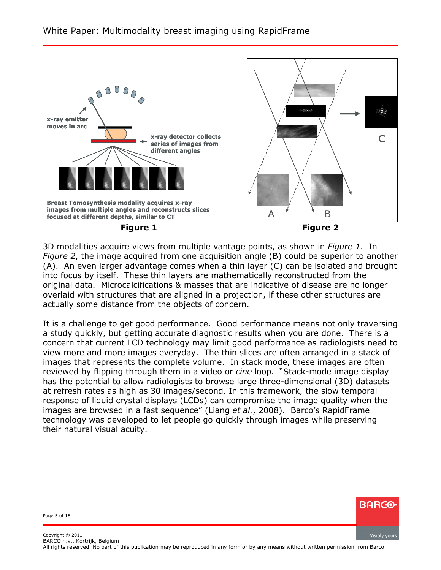

3D modalities acquire views from multiple vantage points, as shown in *Figure 1*. In *Figure 2*, the image acquired from one acquisition angle (B) could be superior to another (A). An even larger advantage comes when a thin layer (C) can be isolated and brought into focus by itself. These thin layers are mathematically reconstructed from the original data. Microcalcifications & masses that are indicative of disease are no longer overlaid with structures that are aligned in a projection, if these other structures are actually some distance from the objects of concern.

It is a challenge to get good performance. Good performance means not only traversing a study quickly, but getting accurate diagnostic results when you are done. There is a concern that current LCD technology may limit good performance as radiologists need to view more and more images everyday. The thin slices are often arranged in a stack of images that represents the complete volume. In stack mode, these images are often reviewed by flipping through them in a video or *cine* loop. "Stack-mode image display has the potential to allow radiologists to browse large three-dimensional (3D) datasets at refresh rates as high as 30 images/second. In this framework, the slow temporal response of liquid crystal displays (LCDs) can compromise the image quality when the images are browsed in a fast sequence" (Liang *et al.*, 2008). Barco's RapidFrame technology was developed to let people go quickly through images while preserving their natural visual acuity.



Page 5 of 18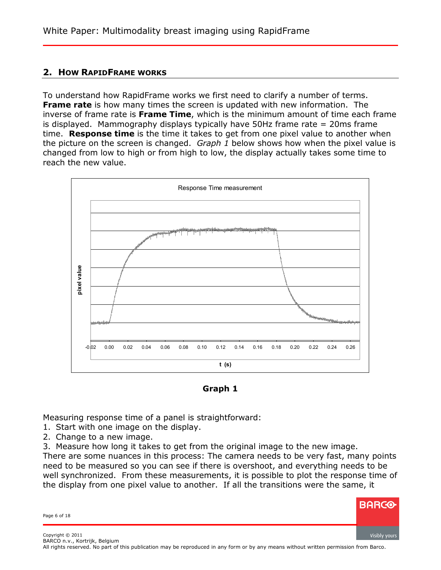## <span id="page-5-0"></span>**2. HOW RAPIDFRAME WORKS**

To understand how RapidFrame works we first need to clarify a number of terms. **Frame rate** is how many times the screen is updated with new information. The inverse of frame rate is **Frame Time**, which is the minimum amount of time each frame is displayed. Mammography displays typically have 50Hz frame rate = 20ms frame time. **Response time** is the time it takes to get from one pixel value to another when the picture on the screen is changed. *Graph 1* below shows how when the pixel value is changed from low to high or from high to low, the display actually takes some time to reach the new value.



**Graph 1** 

Measuring response time of a panel is straightforward:

- 1. Start with one image on the display.
- 2. Change to a new image.
- 3. Measure how long it takes to get from the original image to the new image.

There are some nuances in this process: The camera needs to be very fast, many points need to be measured so you can see if there is overshoot, and everything needs to be well synchronized. From these measurements, it is possible to plot the response time of the display from one pixel value to another. If all the transitions were the same, it

**BARCO** 

Page 6 of 18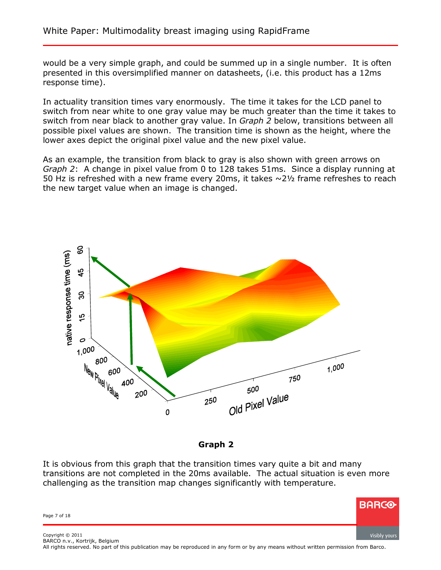would be a very simple graph, and could be summed up in a single number. It is often presented in this oversimplified manner on datasheets, (i.e. this product has a 12ms response time).

In actuality transition times vary enormously. The time it takes for the LCD panel to switch from near white to one gray value may be much greater than the time it takes to switch from near black to another gray value. In *Graph 2* below, transitions between all possible pixel values are shown. The transition time is shown as the height, where the lower axes depict the original pixel value and the new pixel value.

As an example, the transition from black to gray is also shown with green arrows on *Graph 2*: A change in pixel value from 0 to 128 takes 51ms. Since a display running at 50 Hz is refreshed with a new frame every 20ms, it takes  $\sim$ 2½ frame refreshes to reach the new target value when an image is changed.



**Graph 2** 

It is obvious from this graph that the transition times vary quite a bit and many transitions are not completed in the 20ms available. The actual situation is even more challenging as the transition map changes significantly with temperature.

All rights reserved. No part of this publication may be reproduced in any form or by any means without written permission from Barco.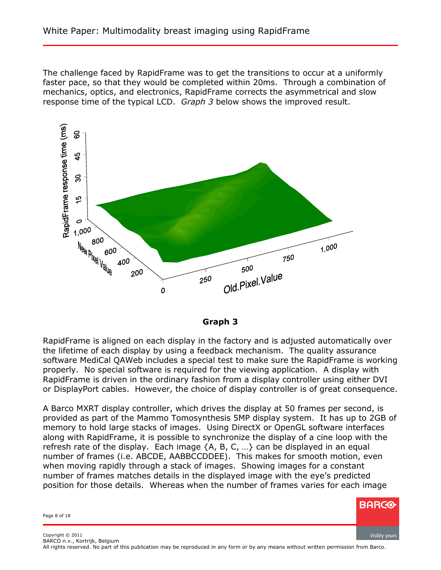The challenge faced by RapidFrame was to get the transitions to occur at a uniformly faster pace, so that they would be completed within 20ms. Through a combination of mechanics, optics, and electronics, RapidFrame corrects the asymmetrical and slow response time of the typical LCD. *Graph 3* below shows the improved result.





RapidFrame is aligned on each display in the factory and is adjusted automatically over the lifetime of each display by using a feedback mechanism. The quality assurance software MediCal QAWeb includes a special test to make sure the RapidFrame is working properly. No special software is required for the viewing application. A display with RapidFrame is driven in the ordinary fashion from a display controller using either DVI or DisplayPort cables. However, the choice of display controller is of great consequence.

A Barco MXRT display controller, which drives the display at 50 frames per second, is provided as part of the Mammo Tomosynthesis 5MP display system. It has up to 2GB of memory to hold large stacks of images. Using DirectX or OpenGL software interfaces along with RapidFrame, it is possible to synchronize the display of a cine loop with the refresh rate of the display. Each image  $\{A, B, C, \ldots\}$  can be displayed in an equal number of frames (i.e. ABCDE, AABBCCDDEE). This makes for smooth motion, even when moving rapidly through a stack of images. Showing images for a constant number of frames matches details in the displayed image with the eye's predicted position for those details. Whereas when the number of frames varies for each image

**BARCO** 

Page 8 of 18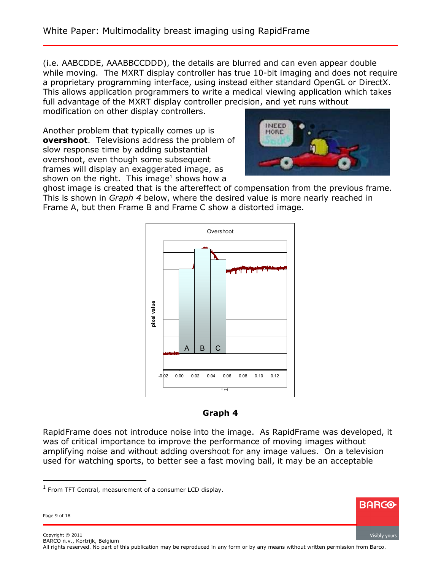(i.e. AABCDDE, AAABBCCDDD), the details are blurred and can even appear double while moving. The MXRT display controller has true 10-bit imaging and does not require a proprietary programming interface, using instead either standard OpenGL or DirectX. This allows application programmers to write a medical viewing application which takes full advantage of the MXRT display controller precision, and yet runs without modification on other display controllers.

Another problem that typically comes up is **overshoot**. Televisions address the problem of slow response time by adding substantial overshoot, even though some subsequent frames will display an exaggerated image, as shown on the right. This image<sup>1</sup> shows how a



**BARGO** 

ghost image is created that is the aftereffect of compensation from the previous frame. This is shown in *Graph 4* below, where the desired value is more nearly reached in Frame A, but then Frame B and Frame C show a distorted image.





RapidFrame does not introduce noise into the image. As RapidFrame was developed, it was of critical importance to improve the performance of moving images without amplifying noise and without adding overshoot for any image values. On a television used for watching sports, to better see a fast moving ball, it may be an acceptable

-

 $1$  From TFT Central, measurement of a consumer LCD display.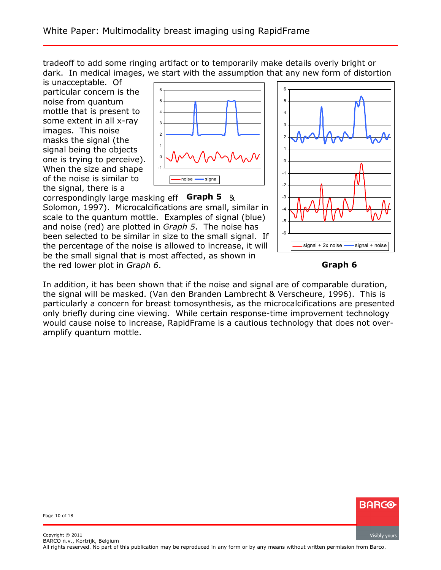tradeoff to add some ringing artifact or to temporarily make details overly bright or dark. In medical images, we start with the assumption that any new form of distortion

is unacceptable. Of particular concern is the noise from quantum mottle that is present to some extent in all x-ray images. This noise masks the signal (the signal being the objects one is trying to perceive). When the size and shape of the noise is similar to the signal, there is a

correspondingly large masking eff **Graph 5** &

Solomon, 1997). Microcalcifications are small, similar in scale to the quantum mottle. Examples of signal (blue) and noise (red) are plotted in *Graph 5*. The noise has





been selected to be similar in size to the small signal. If the percentage of the noise is allowed to increase, it will be the small signal that is most affected, as shown in the red lower plot in *Graph 6*.

**Graph 6**

In addition, it has been shown that if the noise and signal are of comparable duration, the signal will be masked. (Van den Branden Lambrecht & Verscheure, 1996). This is particularly a concern for breast tomosynthesis, as the microcalcifications are presented only briefly during cine viewing. While certain response-time improvement technology would cause noise to increase, RapidFrame is a cautious technology that does not overamplify quantum mottle.



Page 10 of 18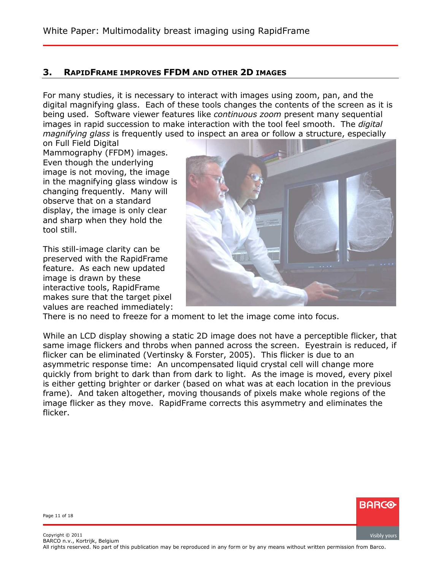## <span id="page-10-0"></span>**3. RAPIDFRAME IMPROVES FFDM AND OTHER 2D IMAGES**

For many studies, it is necessary to interact with images using zoom, pan, and the digital magnifying glass. Each of these tools changes the contents of the screen as it is being used. Software viewer features like *continuous zoom* present many sequential images in rapid succession to make interaction with the tool feel smooth. The *digital magnifying glass* is frequently used to inspect an area or follow a structure, especially

on Full Field Digital Mammography (FFDM) images. Even though the underlying image is not moving, the image in the magnifying glass window is changing frequently. Many will observe that on a standard display, the image is only clear and sharp when they hold the tool still.

This still-image clarity can be preserved with the RapidFrame feature. As each new updated image is drawn by these interactive tools, RapidFrame makes sure that the target pixel values are reached immediately:



There is no need to freeze for a moment to let the image come into focus.

While an LCD display showing a static 2D image does not have a perceptible flicker, that same image flickers and throbs when panned across the screen. Eyestrain is reduced, if flicker can be eliminated (Vertinsky & Forster, 2005). This flicker is due to an asymmetric response time: An uncompensated liquid crystal cell will change more quickly from bright to dark than from dark to light. As the image is moved, every pixel is either getting brighter or darker (based on what was at each location in the previous frame). And taken altogether, moving thousands of pixels make whole regions of the image flicker as they move. RapidFrame corrects this asymmetry and eliminates the flicker.



Page 11 of 18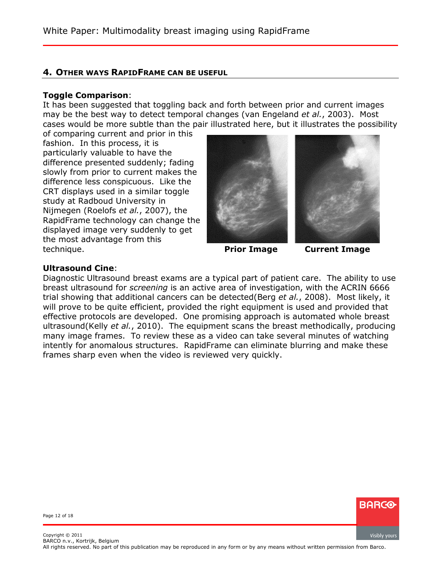#### <span id="page-11-0"></span>**4. OTHER WAYS RAPIDFRAME CAN BE USEFUL**

#### **Toggle Comparison**:

It has been suggested that toggling back and forth between prior and current images may be the best way to detect temporal changes (van Engeland *et al.*, 2003). Most cases would be more subtle than the pair illustrated here, but it illustrates the possibility

of comparing current and prior in this fashion. In this process, it is particularly valuable to have the difference presented suddenly; fading slowly from prior to current makes the difference less conspicuous. Like the CRT displays used in a similar toggle study at Radboud University in Nijmegen (Roelofs *et al.*, 2007), the RapidFrame technology can change the displayed image very suddenly to get the most advantage from this technique. **Prior Image Current Image**



#### **Ultrasound Cine**:

Diagnostic Ultrasound breast exams are a typical part of patient care. The ability to use breast ultrasound for *screening* is an active area of investigation, with the ACRIN 6666 trial showing that additional cancers can be detected(Berg *et al.*, 2008). Most likely, it will prove to be quite efficient, provided the right equipment is used and provided that effective protocols are developed. One promising approach is automated whole breast ultrasound(Kelly *et al.*, 2010). The equipment scans the breast methodically, producing many image frames. To review these as a video can take several minutes of watching intently for anomalous structures. RapidFrame can eliminate blurring and make these frames sharp even when the video is reviewed very quickly.



Page 12 of 18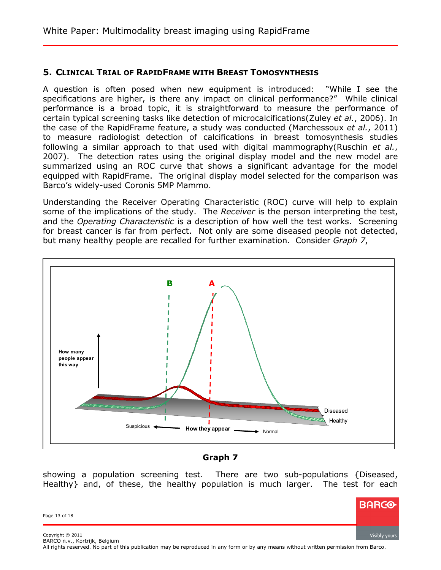## <span id="page-12-0"></span>**5. CLINICAL TRIAL OF RAPIDFRAME WITH BREAST TOMOSYNTHESIS**

A question is often posed when new equipment is introduced: "While I see the specifications are higher, is there any impact on clinical performance?" While clinical performance is a broad topic, it is straightforward to measure the performance of certain typical screening tasks like detection of microcalcifications(Zuley *et al.*, 2006). In the case of the RapidFrame feature, a study was conducted (Marchessoux *et al.*, 2011) to measure radiologist detection of calcifications in breast tomosynthesis studies following a similar approach to that used with digital mammography(Ruschin *et al.*, 2007). The detection rates using the original display model and the new model are summarized using an ROC curve that shows a significant advantage for the model equipped with RapidFrame. The original display model selected for the comparison was Barco's widely-used Coronis 5MP Mammo.

Understanding the Receiver Operating Characteristic (ROC) curve will help to explain some of the implications of the study. The *Receiver* is the person interpreting the test, and the *Operating Characteristic* is a description of how well the test works. Screening for breast cancer is far from perfect. Not only are some diseased people not detected, but many healthy people are recalled for further examination. Consider *Graph 7*,



### **Graph 7**

showing a population screening test. There are two sub-populations {Diseased, Healthy} and, of these, the healthy population is much larger. The test for each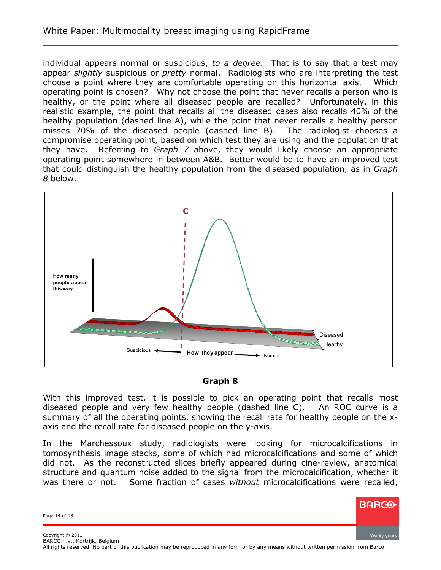individual appears normal or suspicious, *to a degree*. That is to say that a test may appear *slightly* suspicious or *pretty* normal. Radiologists who are interpreting the test choose a point where they are comfortable operating on this horizontal axis. Which operating point is chosen? Why not choose the point that never recalls a person who is healthy, or the point where all diseased people are recalled? Unfortunately, in this realistic example, the point that recalls all the diseased cases also recalls 40% of the healthy population (dashed line A), while the point that never recalls a healthy person misses 70% of the diseased people (dashed line B). The radiologist chooses a compromise operating point, based on which test they are using and the population that they have. Referring to *Graph 7* above, they would likely choose an appropriate operating point somewhere in between A&B. Better would be to have an improved test that could distinguish the healthy population from the diseased population, as in *Graph 8* below.



**Graph 8** 

With this improved test, it is possible to pick an operating point that recalls most diseased people and very few healthy people (dashed line C). An ROC curve is a summary of all the operating points, showing the recall rate for healthy people on the xaxis and the recall rate for diseased people on the y-axis.

In the Marchessoux study, radiologists were looking for microcalcifications in tomosynthesis image stacks, some of which had microcalcifications and some of which did not. As the reconstructed slices briefly appeared during cine-review, anatomical structure and quantum noise added to the signal from the microcalcification, whether it was there or not. Some fraction of cases *without* microcalcifications were recalled,

| Page 14 of 18                                     | <b>BARCO</b>  |
|---------------------------------------------------|---------------|
| Copyright © 2011<br>BARCO n.v., Kortrijk, Belgium | Visibly yours |

All rights reserved. No part of this publication may be reproduced in any form or by any means without written permission from Barco.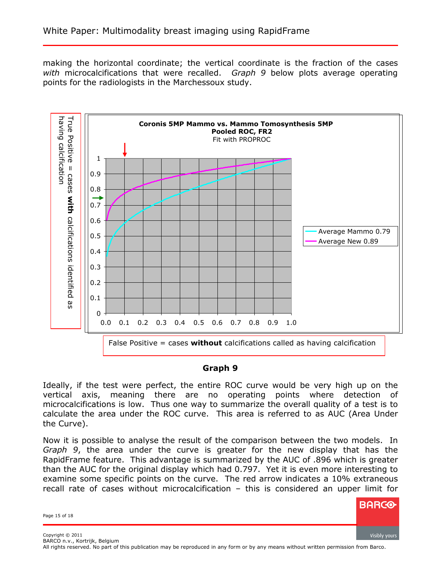making the horizontal coordinate; the vertical coordinate is the fraction of the cases *with* microcalcifications that were recalled. *Graph 9* below plots average operating points for the radiologists in the Marchessoux study.



## **Graph 9**

Ideally, if the test were perfect, the entire ROC curve would be very high up on the vertical axis, meaning there are no operating points where detection of microcalcifications is low. Thus one way to summarize the overall quality of a test is to calculate the area under the ROC curve. This area is referred to as AUC (Area Under the Curve).

Now it is possible to analyse the result of the comparison between the two models. In *Graph 9*, the area under the curve is greater for the new display that has the RapidFrame feature. This advantage is summarized by the AUC of .896 which is greater than the AUC for the original display which had 0.797. Yet it is even more interesting to examine some specific points on the curve. The red arrow indicates a 10% extraneous recall rate of cases without microcalcification – this is considered an upper limit for

Page 15 of 18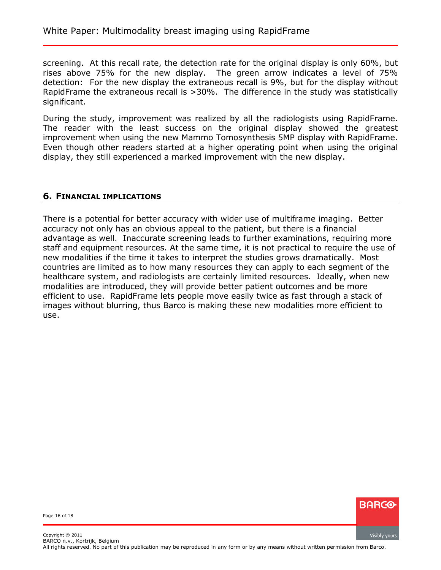<span id="page-15-0"></span>screening. At this recall rate, the detection rate for the original display is only 60%, but rises above 75% for the new display. The green arrow indicates a level of 75% detection: For the new display the extraneous recall is 9%, but for the display without RapidFrame the extraneous recall is >30%. The difference in the study was statistically significant.

During the study, improvement was realized by all the radiologists using RapidFrame. The reader with the least success on the original display showed the greatest improvement when using the new Mammo Tomosynthesis 5MP display with RapidFrame. Even though other readers started at a higher operating point when using the original display, they still experienced a marked improvement with the new display.

## **6. FINANCIAL IMPLICATIONS**

There is a potential for better accuracy with wider use of multiframe imaging. Better accuracy not only has an obvious appeal to the patient, but there is a financial advantage as well. Inaccurate screening leads to further examinations, requiring more staff and equipment resources. At the same time, it is not practical to require the use of new modalities if the time it takes to interpret the studies grows dramatically. Most countries are limited as to how many resources they can apply to each segment of the healthcare system, and radiologists are certainly limited resources. Ideally, when new modalities are introduced, they will provide better patient outcomes and be more efficient to use. RapidFrame lets people move easily twice as fast through a stack of images without blurring, thus Barco is making these new modalities more efficient to use.



Page 16 of 18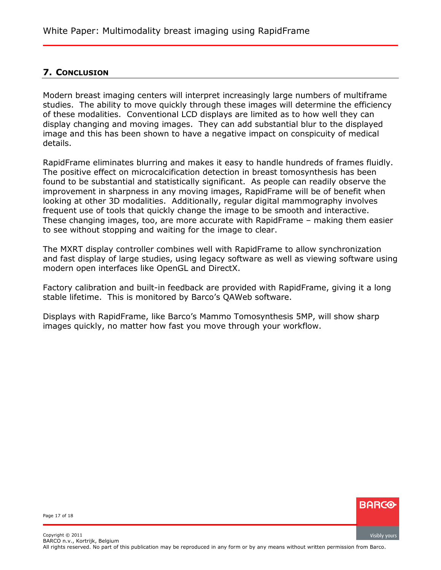## <span id="page-16-0"></span>**7. CONCLUSION**

Modern breast imaging centers will interpret increasingly large numbers of multiframe studies. The ability to move quickly through these images will determine the efficiency of these modalities. Conventional LCD displays are limited as to how well they can display changing and moving images. They can add substantial blur to the displayed image and this has been shown to have a negative impact on conspicuity of medical details.

RapidFrame eliminates blurring and makes it easy to handle hundreds of frames fluidly. The positive effect on microcalcification detection in breast tomosynthesis has been found to be substantial and statistically significant. As people can readily observe the improvement in sharpness in any moving images, RapidFrame will be of benefit when looking at other 3D modalities. Additionally, regular digital mammography involves frequent use of tools that quickly change the image to be smooth and interactive. These changing images, too, are more accurate with RapidFrame – making them easier to see without stopping and waiting for the image to clear.

The MXRT display controller combines well with RapidFrame to allow synchronization and fast display of large studies, using legacy software as well as viewing software using modern open interfaces like OpenGL and DirectX.

Factory calibration and built-in feedback are provided with RapidFrame, giving it a long stable lifetime. This is monitored by Barco's QAWeb software.

Displays with RapidFrame, like Barco's Mammo Tomosynthesis 5MP, will show sharp images quickly, no matter how fast you move through your workflow.